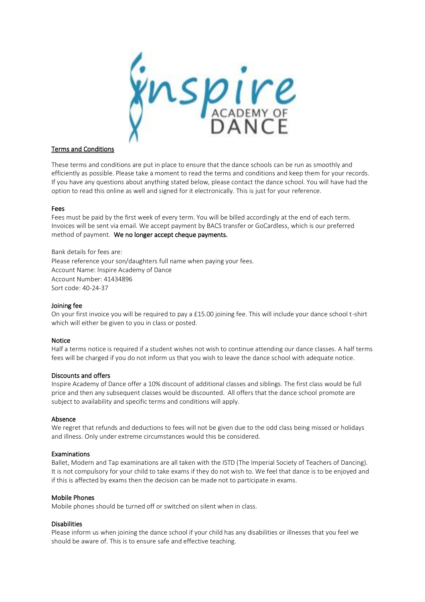

# Terms and Conditions

These terms and conditions are put in place to ensure that the dance schools can be run as smoothly and efficiently as possible. Please take a moment to read the terms and conditions and keep them for your records. If you have any questions about anything stated below, please contact the dance school. You will have had the option to read this online as well and signed for it electronically. This is just for your reference.

# Fees

Fees must be paid by the first week of every term. You will be billed accordingly at the end of each term. Invoices will be sent via email. We accept payment by BACS transfer or GoCardless, which is our preferred method of payment. We no longer accept cheque payments.

Bank details for fees are: Please reference your son/daughters full name when paying your fees. Account Name: Inspire Academy of Dance Account Number: 41434896 Sort code: 40-24-37

# Joining fee

On your first invoice you will be required to pay a £15.00 joining fee. This will include your dance school t-shirt which will either be given to you in class or posted.

# Notice

Half a terms notice is required if a student wishes not wish to continue attending our dance classes. A half terms fees will be charged if you do not inform us that you wish to leave the dance school with adequate notice.

# Discounts and offers

Inspire Academy of Dance offer a 10% discount of additional classes and siblings. The first class would be full price and then any subsequent classes would be discounted. All offers that the dance school promote are subject to availability and specific terms and conditions will apply.

# Absence

We regret that refunds and deductions to fees will not be given due to the odd class being missed or holidays and illness. Only under extreme circumstances would this be considered.

# Examinations

Ballet, Modern and Tap examinations are all taken with the ISTD (The Imperial Society of Teachers of Dancing). It is not compulsory for your child to take exams if they do not wish to. We feel that dance is to be enjoyed and if this is affected by exams then the decision can be made not to participate in exams.

# Mobile Phones

Mobile phones should be turned off or switched on silent when in class.

# **Disabilities**

Please inform us when joining the dance school if your child has any disabilities or illnesses that you feel we should be aware of. This is to ensure safe and effective teaching.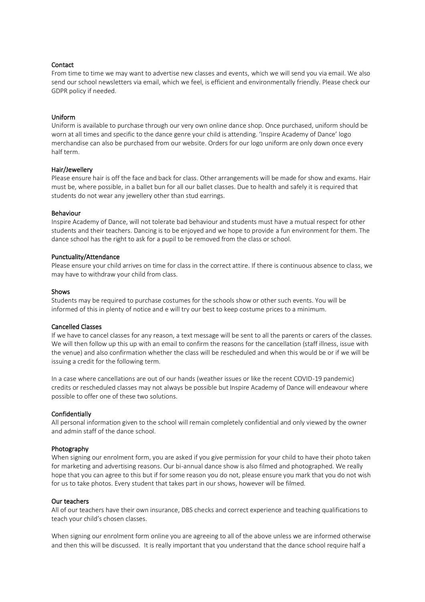## **Contact**

From time to time we may want to advertise new classes and events, which we will send you via email. We also send our school newsletters via email, which we feel, is efficient and environmentally friendly. Please check our GDPR policy if needed.

## Uniform

Uniform is available to purchase through our very own online dance shop. Once purchased, uniform should be worn at all times and specific to the dance genre your child is attending. 'Inspire Academy of Dance' logo merchandise can also be purchased from our website. Orders for our logo uniform are only down once every half term.

## Hair/Jewellery

Please ensure hair is off the face and back for class. Other arrangements will be made for show and exams. Hair must be, where possible, in a ballet bun for all our ballet classes. Due to health and safely it is required that students do not wear any jewellery other than stud earrings.

#### Behaviour

Inspire Academy of Dance, will not tolerate bad behaviour and students must have a mutual respect for other students and their teachers. Dancing is to be enjoyed and we hope to provide a fun environment for them. The dance school has the right to ask for a pupil to be removed from the class or school.

### Punctuality/Attendance

Please ensure your child arrives on time for class in the correct attire. If there is continuous absence to class, we may have to withdraw your child from class.

#### **Shows**

Students may be required to purchase costumes for the schools show or other such events. You will be informed of this in plenty of notice and e will try our best to keep costume prices to a minimum.

### Cancelled Classes

If we have to cancel classes for any reason, a text message will be sent to all the parents or carers of the classes. We will then follow up this up with an email to confirm the reasons for the cancellation (staff illness, issue with the venue) and also confirmation whether the class will be rescheduled and when this would be or if we will be issuing a credit for the following term.

In a case where cancellations are out of our hands (weather issues or like the recent COVID-19 pandemic) credits or rescheduled classes may not always be possible but Inspire Academy of Dance will endeavour where possible to offer one of these two solutions.

## Confidentially

All personal information given to the school will remain completely confidential and only viewed by the owner and admin staff of the dance school.

#### Photography

When signing our enrolment form, you are asked if you give permission for your child to have their photo taken for marketing and advertising reasons. Our bi-annual dance show is also filmed and photographed. We really hope that you can agree to this but if for some reason you do not, please ensure you mark that you do not wish for us to take photos. Every student that takes part in our shows, however will be filmed.

### Our teachers

All of our teachers have their own insurance, DBS checks and correct experience and teaching qualifications to teach your child's chosen classes.

When signing our enrolment form online you are agreeing to all of the above unless we are informed otherwise and then this will be discussed. It is really important that you understand that the dance school require half a